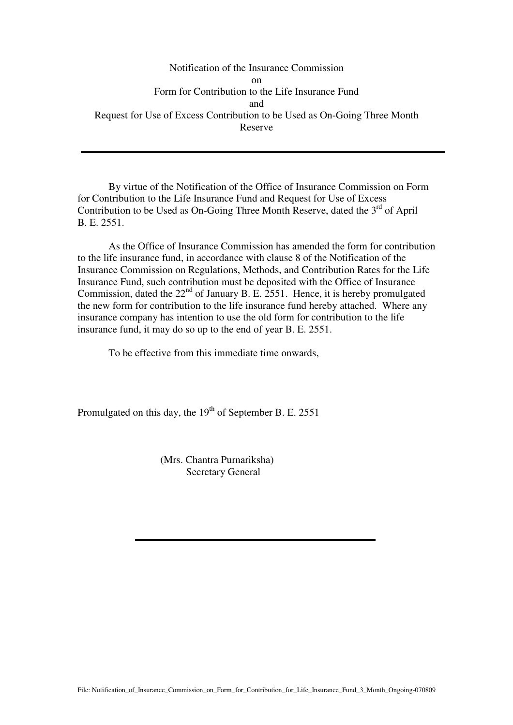Notification of the Insurance Commission on Form for Contribution to the Life Insurance Fund and Request for Use of Excess Contribution to be Used as On-Going Three Month Reserve

 By virtue of the Notification of the Office of Insurance Commission on Form for Contribution to the Life Insurance Fund and Request for Use of Excess Contribution to be Used as On-Going Three Month Reserve, dated the  $3<sup>rd</sup>$  of April B. E. 2551.

 As the Office of Insurance Commission has amended the form for contribution to the life insurance fund, in accordance with clause 8 of the Notification of the Insurance Commission on Regulations, Methods, and Contribution Rates for the Life Insurance Fund, such contribution must be deposited with the Office of Insurance Commission, dated the  $22<sup>nd</sup>$  of January B. E. 2551. Hence, it is hereby promulgated the new form for contribution to the life insurance fund hereby attached. Where any insurance company has intention to use the old form for contribution to the life insurance fund, it may do so up to the end of year B. E. 2551.

To be effective from this immediate time onwards,

Promulgated on this day, the  $19<sup>th</sup>$  of September B. E. 2551

 (Mrs. Chantra Purnariksha) Secretary General